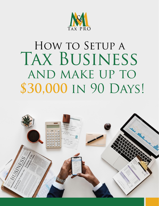

# HOW TO SETUP A TAX BUSINESS AND MAKE UP TO \$30,000 IN 90 DAYS!

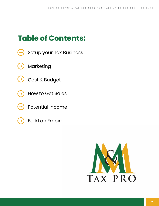# **Table of Contents:**

- [Setup your Tax Business](#page-2-0)
- [Marketing](#page-3-0)
- [Cost & Budget](#page-5-0)
- [How to Get Sales](#page-6-0)
	- [Potential Income](#page-14-0)
- 
- [Build an Empire](#page-14-0)

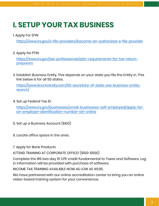# <span id="page-2-0"></span>**I. SETUP YOUR TAX BUSINESS**

#### 1. Apply For EFIN

<https://www.irs.gov/e-file-providers/become-an-authorized-e-file-provider>

2. Apply for PTIN

[https://www.irs.gov/tax-professionals/ptin-requirements-for-tax-return](https://www.irs.gov/tax-professionals/ptin-requirements-for-tax-return-preparers)preparers

3. Establish Business Entity. This depends on your state you file the Entity in. This link below is for all 50 states.

[https://www.llcuniversity.com/50-secretary-of-state-sos-business-entity](https://www.llcuniversity.com/50-secretary-of-state-sos-business-entity-search/)search/

4. Set up Federal Tax ID

[https://www.irs.gov/businesses/small-businesses-self-employed/apply-for](https://www.irs.gov/businesses/small-businesses-self-employed/apply-for-an-employer-identification-number-ein-online)an-employer-identification-number-ein-online

- 5. Set up a Business Account (\$100)
- 6. Locate office space in the area.
- 7. Apply for Bank Products

ATTEND TRAINING AT CORPORATE OFFICE! (\$150-\$500)

Complete the IRS two day 15 CPE credit fundamental to Taxes and Software. Log in information will be provided with purchase of software.

INCOME TAX TRAINING AVAILABLE NOW AS LOW AS 49.95.

We have partnered with our online accreditation center to bring you an online video-based training system for your convenience.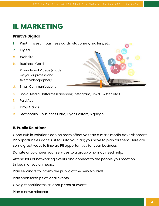### <span id="page-3-0"></span>**II. MARKETING**

#### **Print vs Digital**

- 1. Print Invest in business cards, stationery, mailers, etc
- 2. Digital
- a. Website
- b. Business Card
- c. Promotional Videos (made by you or professional fiverr, videographer)
- d. Email Communications
- e. Social Media Platforms (Facebook, Instagram, Link'd, Twitter, etc.)
- f. Paid Ads
- g. Drop Cards
- h. Stationairy business Card, Flyer, Posters, Signage,

#### **B. Public Relations**

Good Public Relations can be more effective than a mass media advertisement. PR opportunities don't just fall into your lap; you have to plan for them. Here are some great ways to line-up PR opportunities for your business:

Donate or volunteer your services to a group who may need help.

Attend lots of networking events and connect to the people you meet on LinkedIn or social media.

Plan seminars to inform the public of the new tax laws.

Plan sponsorships at local events.

Give gift certificates as door prizes at events.

Plan a news releases.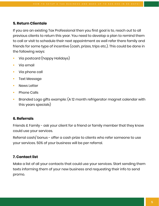#### **5. Return Clientale**

If you are an existing Tax Professional then you first goal is to, reach out to all previous clients to return this year. You need to develop a plan to remind them to call or visit to schedule their next appointment as well refer there family and friends for some type of incentive (cash, prizes, trips etc.). This could be done in the following ways:

- Via postcard (happy Holidays)
- Via email
- Via phone call
- Text Message
- News Letter
- Phone Calls
- Branded Logo gifts example: (A 12 month refrigerator magnet calendar with this years specials)

#### **6. Referrals**

Friends & Family - ask your client for a friend or family member that they know could use your services.

Referral cash/ bonus - offer a cash prize to clients who refer someone to use your services. 50% of your business will be per referral.

#### **7. Contact list**

Make a list of all your contacts that could use your services. Start sending them texts informing them of your new business and requesting their info to send promo.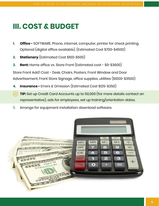### <span id="page-5-0"></span>**III. COST & BUDGET**

- **1. Office -** SOFTWARE, Phone, internet, computer, printer for check printing. Optional (digital office available). (Estimated Cost \$700-\$4500)
- **2. Stationary** (Estimated Cost \$100-\$500)
- **3. Rent:** Home office vs. Store Front (Estimated cost \$0-\$3600)

Store Front Add'l Cost - Desk, Chairs, Posters, Front Window and Door Advertisement, Front Store Signage, office supplies, utilities (\$1000-\$3500)

- **4. Insurance -** Errors & Omission (Estimated Cost \$125-\$350)
- **TIP:** Set up Credit Card Accounts up to 50,000 (for more details contact an (→ representative), ads for employees, set up training/orientation dates.
- 5. Arrange for equipment installation download software.

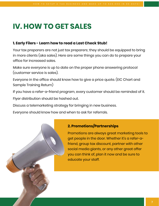### <span id="page-6-0"></span>**IV. HOW TO GET SALES**

#### **1. Early Filers - Learn how to read a Last Check Stub!**

Your tax preparers are not just tax preparers; they should be equipped to bring in more clients (aka sales). Here are some things you can do to prepare your office for increased sales.

Make sure everyone is up to date on the proper phone answering protocol (customer service is sales).

Everyone in the office should know how to give a price quote. (EIC Chart and Sample Training Return)

If you have a refer-a-friend program, every customer should be reminded of it.

Flyer distribution should be hashed out.

Discuss a telemarketing strategy for bringing in new business.

Everyone should know how and when to ask for referrals.

#### **2. Promotions/Partnerships**

Promotions are always great marketing tools to get people in the door. Whether it's a refer-afriend, group tax discount, partner with other social media giants, or any other great offer you can think of, plan it now and be sure to educate your staff.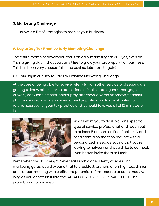#### **3. Marketing Challenge**

Below is a list of strategies to market your business

#### **A. Day to Day Tax Practice Early Marketing Challenge**

The entire month of November, focus on daily marketing tasks — yes, even on Thanksgiving day — that you can utilize to grow your tax preparation business. This has been very successful in the past so lets start it again!

#### OK! Lets Begin our Day to Day Tax Practice Marketing Challenge

At the core of being able to receive referrals from other service professionals is getting to know other service professionals. Real estate agents, mortgage brokers, bank loan officers, bankruptcy attorneys, divorce attorneys, financial planners, insurance agents, even other tax professionals, are all potential referral sources for your tax practice and it should take you all of 10 minutes or less.



What I want you to do is pick one specific type of service professional, and reach out to at least 5 of them on FaceBook or IG and send them a connection request with a personalized message saying that you're looking to network and would like to connect. Even better, invite them to lunch.

Remember the old saying? "Never eat lunch alone." Plenty of sales and marketing gurus would expand that to breakfast, brunch, lunch, high tea, dinner, and supper, meeting with a different potential referral source at each meal. As long as you don't turn it into the "ALL ABOUT YOUR BUSINESS SALES PITCH", it's probably not a bad idea!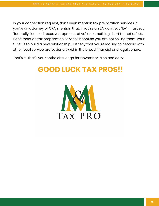In your connection request, don't even mention tax preparation services. If you're an attorney or CPA, mention that. If you're an EA, don't say "EA" — just say "federally licensed taxpayer representative" or something short to that effect. Don't mention tax preparation services because you are not selling them, your GOAL is to build a new relationship. Just say that you're looking to network with other local service professionals within the broad financial and legal sphere.

That's it! That's your entire challenge for November. Nice and easy!

# **GOOD LUCK TAX PROS!!**

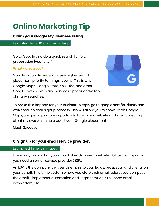# **Online Marketing Tip**

**Claim your Google My Business listing.**

Esimated Time: 10 minutes or less.

Go to Google and do a quick search for "tax preparation [your city]".

#### **What do you see?**

Google naturally prefers to give higher search placement priority to things it owns. This is why Google Maps, Google Store, YouTube, and other Google-owned sites and services appear at the top of many searches.



To make this happen for your business, simply go to google.com/business and walk through their signup process. This will allow you to show up on Google Maps, and perhaps more importantly, to list your website and start collecting client reviews which help boost your Google placement

Much Success,

#### **C. Sign up for your email service provider.**

#### Estimated Time: 5 minutes

Everybody knows that you should already have a website. But just as important, you need an email service provider (ESP).

An ESP is the company that sends emails to your leads, prospects, and clients on your behalf. This is the system where you store their email addresses, compose the emails, implement automation and segmentation rules, send email newsletters, etc.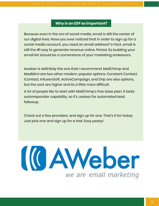#### **Why is an ESP so important?**

Because even in the era of social media, email is still the center of our digital lives. Have you ever noticed that in order to sign up for a social media account, you need an email address? In fact, email is still the #1 way to generate revenue online. Period. So building your email list should be a cornerstone of your marketing endeavors.

Aweber is definitely the one that I recommend. MailChimp and MadMimi are two other modern, popular options. Constant Contact, iContact, InfusionSoft, ActiveCampaign, and Drip are also options, but the cost are higher and its a little more difficult.

A lot of people like to start with MailChimp's free base plan, it lacks autoresponder capability, so it's useless for automated lead followup.

Check out a few providers, and sign up for one. That's it for today: Just pick one and sign up for a trial. Easy peasy!

(CAWeber we are email marketing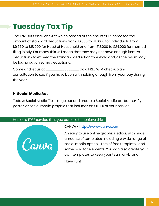# **Tuesday Tax Tip**

The Tax Cuts and Jobs Act which passed at the end of 2017 increased the amount of standard deductions from \$6,500 to \$12,000 for individuals, from \$9,550 to \$18,000 for Head of Household and from \$13,000 to \$24,000 for married filing jointly. For many this will mean that they may not have enough itemize deductions to exceed the standard deduction threshold and, as the result may be losing out on some deductions.

Come and let us at \_\_\_\_\_\_\_\_\_\_\_\_\_\_\_\_ do a FREE W-4 checkup and consultation to see if you have been withholding enough from your pay during the year.

#### **H. Social Media Ads**

Todays Social Media Tip is to go out and create a Social Media ad, banner, flyer, poster, or social media graphic that includes an OFFER of your service.

#### Here is a FREE service that you can use to achieve this:



#### CANVA - [https://www.canva.com](https://www.canva.com/)

An easy to use online graphics editor, with huge amounts of templates, including a wide range of social media options. Lots of free templates and some paid for elements. You can also create your own templates to keep your team on-brand.

Have Fun!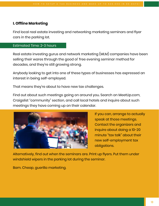#### **I. Offline Marketing**

Find local real estate investing and networking marketing seminars and flyer cars in the parking lot.

#### Estimated Time: 2-3 hours

Real estate investing gurus and network marketing (MLM) companies have been selling their wares through the good ol' free evening seminar method for decades, and they're still growing strong.

Anybody looking to get into one of these types of businesses has expressed an interest in being self-employed.

That means they're about to have new tax challenges.

Find out about such meetings going on around you. Search on MeetUp.com, Craigslist "community" section, and call local hotels and inquire about such meetings they have coming up on their calendar.



If you can, arrange to actually speak at those meetings. Contact the organizers and inquire about doing a 10-20 minute "tax talk" about their new self-employment tax obligations.

Alternatively, find out when the seminars are. Print up flyers. Put them under windshield wipers in the parking lot during the seminar.

Bam. Cheap, guerilla marketing.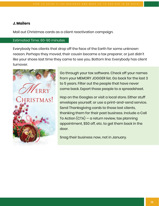#### **J. Mailers**

Mail out Christmas cards as a client reactivation campaign.

#### Estimated Time: 60-90 minutes

Everybody has clients that drop off the face of the Earth for some unknown reason. Perhaps they moved, their cousin became a tax preparer, or just didn't like your shoes last time they came to see you. Bottom line: Everybody has client turnover.



Go through your tax software. Check off your names from your MEMORY JOGGER list. Go back for the last 3 to 5 years. Filter out the people that have never come back. Export those people to a spreadsheet.

Hop on the Googles or visit a local store. Either stuff envelopes yourself, or use a print-and-send service. Send Thanksgiving cards to those lost clients, thanking them for their past business. Include a Call To Action (CTA) — a return review, tax planning appointment, \$50 off, etc. to get them back in the door.

Snag their business now, not in January.